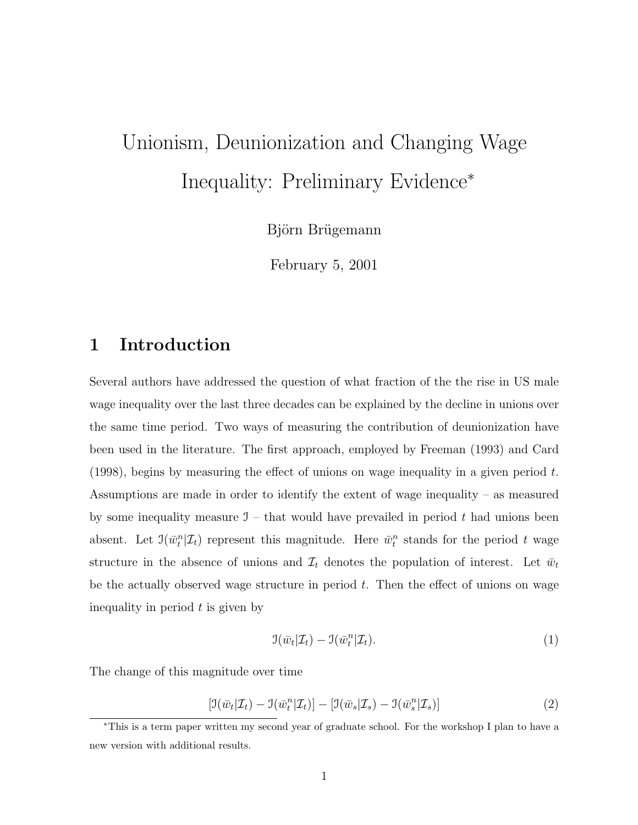# Unionism, Deunionization and Changing Wage Inequality: Preliminary Evidence<sup>∗</sup>

Björn Brügemann

February 5, 2001

# 1 Introduction

Several authors have addressed the question of what fraction of the the rise in US male wage inequality over the last three decades can be explained by the decline in unions over the same time period. Two ways of measuring the contribution of deunionization have been used in the literature. The first approach, employed by Freeman (1993) and Card (1998), begins by measuring the effect of unions on wage inequality in a given period  $t$ . Assumptions are made in order to identify the extent of wage inequality – as measured by some inequality measure  $\mathfrak{I}$  – that would have prevailed in period t had unions been absent. Let  $\mathfrak{I}(\bar{w}_t^n | \mathcal{I}_t)$  represent this magnitude. Here  $\bar{w}_t^n$  stands for the period t wage structure in the absence of unions and  $\mathcal{I}_t$  denotes the population of interest. Let  $\bar{w}_t$ be the actually observed wage structure in period  $t$ . Then the effect of unions on wage inequality in period  $t$  is given by

$$
\mathfrak{I}(\bar{w}_t|\mathcal{I}_t) - \mathfrak{I}(\bar{w}_t^n|\mathcal{I}_t). \tag{1}
$$

The change of this magnitude over time

$$
\left[\mathfrak{I}(\bar{w}_t|\mathcal{I}_t) - \mathfrak{I}(\bar{w}_t^n|\mathcal{I}_t)\right] - \left[\mathfrak{I}(\bar{w}_s|\mathcal{I}_s) - \mathfrak{I}(\bar{w}_s^n|\mathcal{I}_s)\right] \tag{2}
$$

<sup>∗</sup>This is a term paper written my second year of graduate school. For the workshop I plan to have a new version with additional results.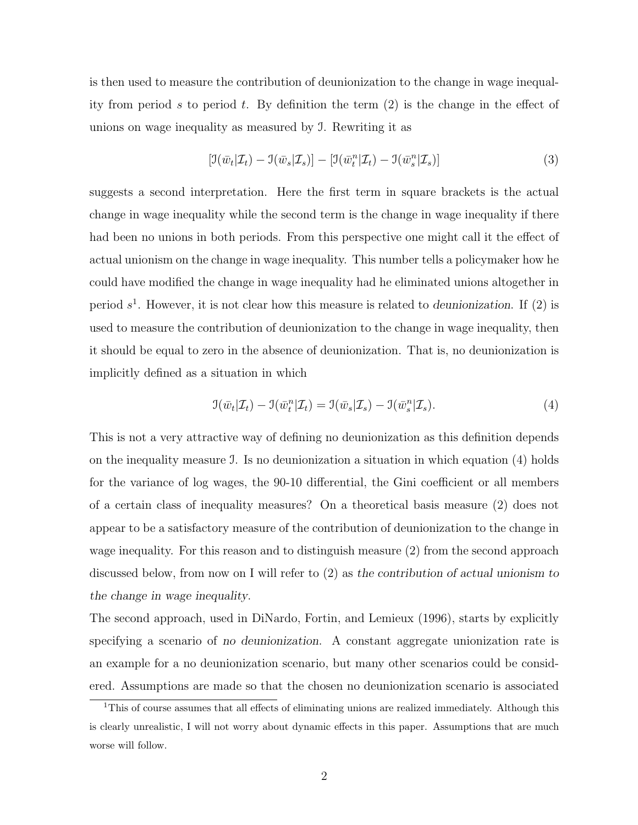is then used to measure the contribution of deunionization to the change in wage inequality from period s to period t. By definition the term  $(2)$  is the change in the effect of unions on wage inequality as measured by I. Rewriting it as

$$
\left[\mathfrak{I}(\bar{w}_t|\mathcal{I}_t) - \mathfrak{I}(\bar{w}_s|\mathcal{I}_s)\right] - \left[\mathfrak{I}(\bar{w}_t^n|\mathcal{I}_t) - \mathfrak{I}(\bar{w}_s^n|\mathcal{I}_s)\right] \tag{3}
$$

suggests a second interpretation. Here the first term in square brackets is the actual change in wage inequality while the second term is the change in wage inequality if there had been no unions in both periods. From this perspective one might call it the effect of actual unionism on the change in wage inequality. This number tells a policymaker how he could have modified the change in wage inequality had he eliminated unions altogether in period  $s<sup>1</sup>$ . However, it is not clear how this measure is related to deunionization. If (2) is used to measure the contribution of deunionization to the change in wage inequality, then it should be equal to zero in the absence of deunionization. That is, no deunionization is implicitly defined as a situation in which

$$
\mathfrak{I}(\bar{w}_t|\mathcal{I}_t) - \mathfrak{I}(\bar{w}_t^n|\mathcal{I}_t) = \mathfrak{I}(\bar{w}_s|\mathcal{I}_s) - \mathfrak{I}(\bar{w}_s^n|\mathcal{I}_s).
$$
\n(4)

This is not a very attractive way of defining no deunionization as this definition depends on the inequality measure I. Is no deunionization a situation in which equation (4) holds for the variance of log wages, the 90-10 differential, the Gini coefficient or all members of a certain class of inequality measures? On a theoretical basis measure (2) does not appear to be a satisfactory measure of the contribution of deunionization to the change in wage inequality. For this reason and to distinguish measure (2) from the second approach discussed below, from now on I will refer to (2) as the contribution of actual unionism to the change in wage inequality.

The second approach, used in DiNardo, Fortin, and Lemieux (1996), starts by explicitly specifying a scenario of no deunionization. A constant aggregate unionization rate is an example for a no deunionization scenario, but many other scenarios could be considered. Assumptions are made so that the chosen no deunionization scenario is associated

<sup>&</sup>lt;sup>1</sup>This of course assumes that all effects of eliminating unions are realized immediately. Although this is clearly unrealistic, I will not worry about dynamic effects in this paper. Assumptions that are much worse will follow.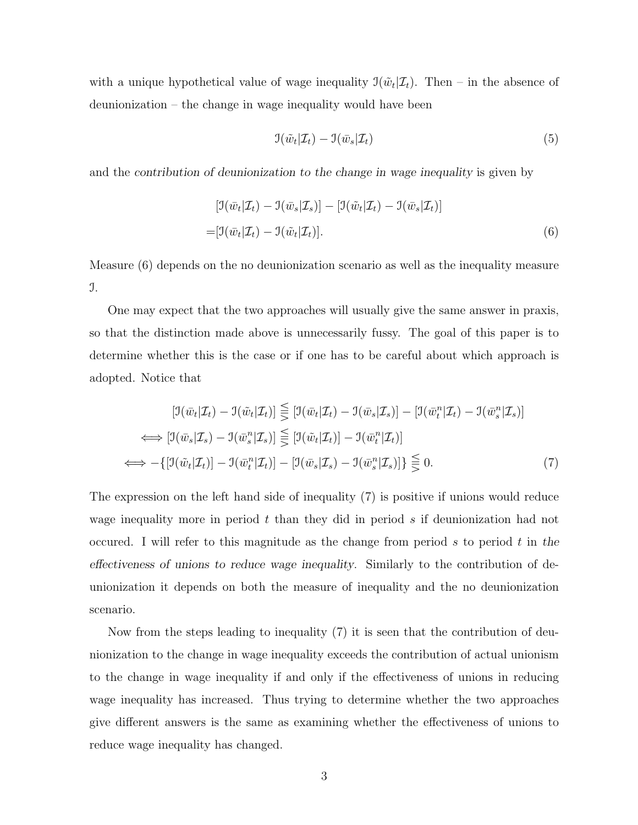with a unique hypothetical value of wage inequality  $\mathfrak{I}(\tilde{w}_t|\mathcal{I}_t)$ . Then – in the absence of deunionization – the change in wage inequality would have been

$$
\mathfrak{I}(\tilde{w}_t|\mathcal{I}_t) - \mathfrak{I}(\bar{w}_s|\mathcal{I}_t) \tag{5}
$$

and the contribution of deunionization to the change in wage inequality is given by

$$
[\mathfrak{I}(\bar{w}_t|\mathcal{I}_t) - \mathfrak{I}(\bar{w}_s|\mathcal{I}_s)] - [\mathfrak{I}(\tilde{w}_t|\mathcal{I}_t) - \mathfrak{I}(\bar{w}_s|\mathcal{I}_t)]
$$
  
=  $[\mathfrak{I}(\bar{w}_t|\mathcal{I}_t) - \mathfrak{I}(\tilde{w}_t|\mathcal{I}_t)].$  (6)

Measure (6) depends on the no deunionization scenario as well as the inequality measure I.

One may expect that the two approaches will usually give the same answer in praxis, so that the distinction made above is unnecessarily fussy. The goal of this paper is to determine whether this is the case or if one has to be careful about which approach is adopted. Notice that

$$
[\mathcal{I}(\bar{w}_t|\mathcal{I}_t) - \mathcal{I}(\tilde{w}_t|\mathcal{I}_t)] \leq [\mathcal{I}(\bar{w}_t|\mathcal{I}_t) - \mathcal{I}(\bar{w}_s|\mathcal{I}_s)] - [\mathcal{I}(\bar{w}_t^n|\mathcal{I}_t) - \mathcal{I}(\bar{w}_s^n|\mathcal{I}_s)]
$$
  
\n
$$
\iff [\mathcal{I}(\bar{w}_s|\mathcal{I}_s) - \mathcal{I}(\bar{w}_s^n|\mathcal{I}_s)] \leq [\mathcal{I}(\tilde{w}_t|\mathcal{I}_t)] - \mathcal{I}(\bar{w}_t^n|\mathcal{I}_t)]
$$
  
\n
$$
\iff -\{[\mathcal{I}(\tilde{w}_t|\mathcal{I}_t)] - \mathcal{I}(\bar{w}_t^n|\mathcal{I}_t)] - [\mathcal{I}(\bar{w}_s|\mathcal{I}_s) - \mathcal{I}(\bar{w}_s^n|\mathcal{I}_s)]\} \leq 0.
$$
\n(7)

The expression on the left hand side of inequality (7) is positive if unions would reduce wage inequality more in period  $t$  than they did in period  $s$  if deunionization had not occured. I will refer to this magnitude as the change from period s to period t in the effectiveness of unions to reduce wage inequality. Similarly to the contribution of deunionization it depends on both the measure of inequality and the no deunionization scenario.

Now from the steps leading to inequality (7) it is seen that the contribution of deunionization to the change in wage inequality exceeds the contribution of actual unionism to the change in wage inequality if and only if the effectiveness of unions in reducing wage inequality has increased. Thus trying to determine whether the two approaches give different answers is the same as examining whether the effectiveness of unions to reduce wage inequality has changed.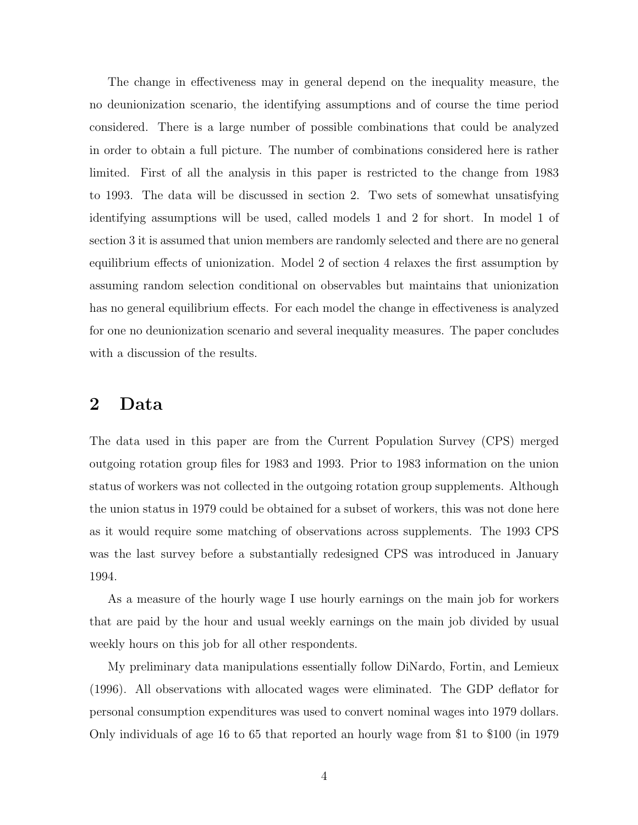The change in effectiveness may in general depend on the inequality measure, the no deunionization scenario, the identifying assumptions and of course the time period considered. There is a large number of possible combinations that could be analyzed in order to obtain a full picture. The number of combinations considered here is rather limited. First of all the analysis in this paper is restricted to the change from 1983 to 1993. The data will be discussed in section 2. Two sets of somewhat unsatisfying identifying assumptions will be used, called models 1 and 2 for short. In model 1 of section 3 it is assumed that union members are randomly selected and there are no general equilibrium effects of unionization. Model 2 of section 4 relaxes the first assumption by assuming random selection conditional on observables but maintains that unionization has no general equilibrium effects. For each model the change in effectiveness is analyzed for one no deunionization scenario and several inequality measures. The paper concludes with a discussion of the results.

### 2 Data

The data used in this paper are from the Current Population Survey (CPS) merged outgoing rotation group files for 1983 and 1993. Prior to 1983 information on the union status of workers was not collected in the outgoing rotation group supplements. Although the union status in 1979 could be obtained for a subset of workers, this was not done here as it would require some matching of observations across supplements. The 1993 CPS was the last survey before a substantially redesigned CPS was introduced in January 1994.

As a measure of the hourly wage I use hourly earnings on the main job for workers that are paid by the hour and usual weekly earnings on the main job divided by usual weekly hours on this job for all other respondents.

My preliminary data manipulations essentially follow DiNardo, Fortin, and Lemieux (1996). All observations with allocated wages were eliminated. The GDP deflator for personal consumption expenditures was used to convert nominal wages into 1979 dollars. Only individuals of age 16 to 65 that reported an hourly wage from \$1 to \$100 (in 1979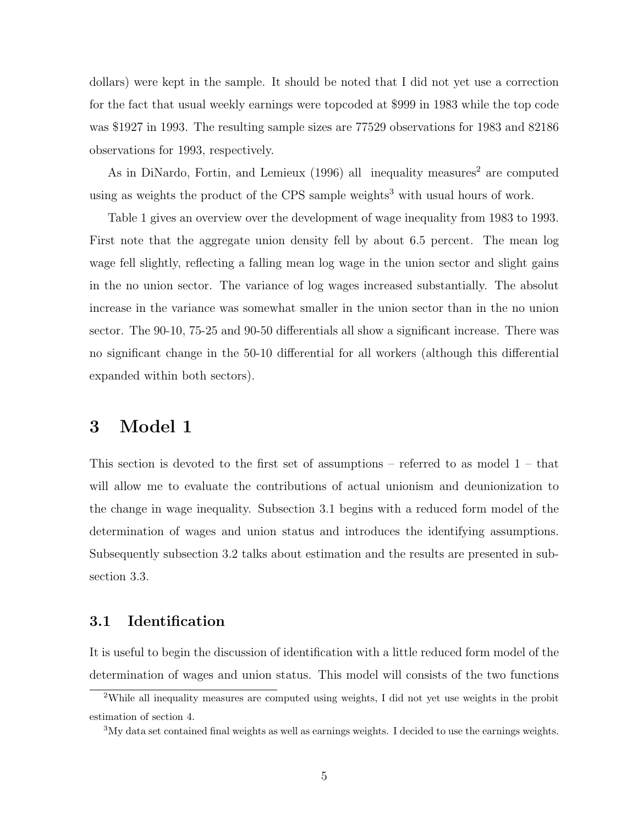dollars) were kept in the sample. It should be noted that I did not yet use a correction for the fact that usual weekly earnings were topcoded at \$999 in 1983 while the top code was \$1927 in 1993. The resulting sample sizes are 77529 observations for 1983 and 82186 observations for 1993, respectively.

As in DiNardo, Fortin, and Lemieux  $(1996)$  all inequality measures<sup>2</sup> are computed using as weights the product of the CPS sample weights<sup>3</sup> with usual hours of work.

Table 1 gives an overview over the development of wage inequality from 1983 to 1993. First note that the aggregate union density fell by about 6.5 percent. The mean log wage fell slightly, reflecting a falling mean log wage in the union sector and slight gains in the no union sector. The variance of log wages increased substantially. The absolut increase in the variance was somewhat smaller in the union sector than in the no union sector. The 90-10, 75-25 and 90-50 differentials all show a significant increase. There was no significant change in the 50-10 differential for all workers (although this differential expanded within both sectors).

### 3 Model 1

This section is devoted to the first set of assumptions – referred to as model  $1$  – that will allow me to evaluate the contributions of actual unionism and deunionization to the change in wage inequality. Subsection 3.1 begins with a reduced form model of the determination of wages and union status and introduces the identifying assumptions. Subsequently subsection 3.2 talks about estimation and the results are presented in subsection 3.3.

#### 3.1 Identification

It is useful to begin the discussion of identification with a little reduced form model of the determination of wages and union status. This model will consists of the two functions

<sup>&</sup>lt;sup>2</sup>While all inequality measures are computed using weights, I did not yet use weights in the probit estimation of section 4.

<sup>&</sup>lt;sup>3</sup>My data set contained final weights as well as earnings weights. I decided to use the earnings weights.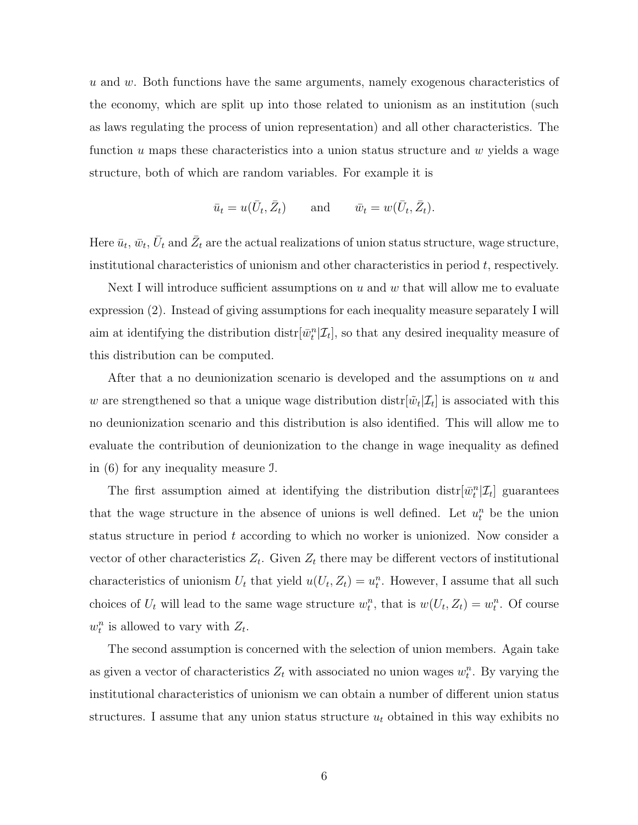u and w. Both functions have the same arguments, namely exogenous characteristics of the economy, which are split up into those related to unionism as an institution (such as laws regulating the process of union representation) and all other characteristics. The function u maps these characteristics into a union status structure and  $w$  yields a wage structure, both of which are random variables. For example it is

$$
\bar{u}_t = u(\bar{U}_t, \bar{Z}_t)
$$
 and  $\bar{w}_t = w(\bar{U}_t, \bar{Z}_t)$ .

Here  $\bar{u}_t, \bar{w}_t, \bar{U}_t$  and  $\bar{Z}_t$  are the actual realizations of union status structure, wage structure, institutional characteristics of unionism and other characteristics in period  $t$ , respectively.

Next I will introduce sufficient assumptions on  $u$  and  $w$  that will allow me to evaluate expression (2). Instead of giving assumptions for each inequality measure separately I will aim at identifying the distribution  $\text{distr}[\bar{w}_t^n | \mathcal{I}_t]$ , so that any desired inequality measure of this distribution can be computed.

After that a no deunionization scenario is developed and the assumptions on u and w are strengthened so that a unique wage distribution  $dist[\tilde{w}_t | \mathcal{I}_t]$  is associated with this no deunionization scenario and this distribution is also identified. This will allow me to evaluate the contribution of deunionization to the change in wage inequality as defined in (6) for any inequality measure I.

The first assumption aimed at identifying the distribution  $\text{dist}[\bar{w}_t^n | \mathcal{I}_t]$  guarantees that the wage structure in the absence of unions is well defined. Let  $u_t^n$  be the union status structure in period  $t$  according to which no worker is unionized. Now consider a vector of other characteristics  $Z_t$ . Given  $Z_t$  there may be different vectors of institutional characteristics of unionism  $U_t$  that yield  $u(U_t, Z_t) = u_t^n$ . However, I assume that all such choices of  $U_t$  will lead to the same wage structure  $w_t^n$ , that is  $w(U_t, Z_t) = w_t^n$ . Of course  $w_t^n$  is allowed to vary with  $Z_t$ .

The second assumption is concerned with the selection of union members. Again take as given a vector of characteristics  $Z_t$  with associated no union wages  $w_t^n$ . By varying the institutional characteristics of unionism we can obtain a number of different union status structures. I assume that any union status structure  $u_t$  obtained in this way exhibits no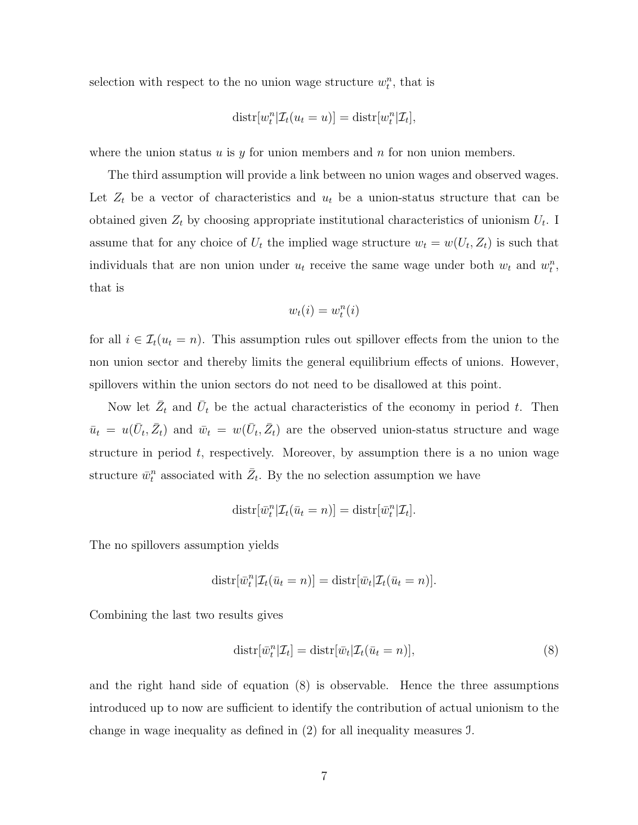selection with respect to the no union wage structure  $w_t^n$ , that is

$$
dist[w_t^n | \mathcal{I}_t(u_t = u)] = dist[r_t^n | \mathcal{I}_t],
$$

where the union status u is y for union members and n for non union members.

The third assumption will provide a link between no union wages and observed wages. Let  $Z_t$  be a vector of characteristics and  $u_t$  be a union-status structure that can be obtained given  $Z_t$  by choosing appropriate institutional characteristics of unionism  $U_t$ . I assume that for any choice of  $U_t$  the implied wage structure  $w_t = w(U_t, Z_t)$  is such that individuals that are non union under  $u_t$  receive the same wage under both  $w_t$  and  $w_t^n$ , that is

$$
w_t(i) = w_t^n(i)
$$

for all  $i \in \mathcal{I}_t(u_t = n)$ . This assumption rules out spillover effects from the union to the non union sector and thereby limits the general equilibrium effects of unions. However, spillovers within the union sectors do not need to be disallowed at this point.

Now let  $\bar{Z}_t$  and  $\bar{U}_t$  be the actual characteristics of the economy in period t. Then  $\bar{u}_t = u(\bar{U}_t, \bar{Z}_t)$  and  $\bar{w}_t = w(\bar{U}_t, \bar{Z}_t)$  are the observed union-status structure and wage structure in period  $t$ , respectively. Moreover, by assumption there is a no union wage structure  $\bar{w}_t^n$  associated with  $\bar{Z}_t$ . By the no selection assumption we have

$$
dist[\overline{w}_t^n | \mathcal{I}_t(\overline{u}_t = n)] = dist[\overline{w}_t^n | \mathcal{I}_t].
$$

The no spillovers assumption yields

$$
dist[\bar{w}_t^n | \mathcal{I}_t(\bar{u}_t = n)] = dist[\bar{w}_t | \mathcal{I}_t(\bar{u}_t = n)].
$$

Combining the last two results gives

$$
dist[\bar{w}_t^n | \mathcal{I}_t] = dist[\bar{w}_t | \mathcal{I}_t(\bar{u}_t = n)], \qquad (8)
$$

and the right hand side of equation (8) is observable. Hence the three assumptions introduced up to now are sufficient to identify the contribution of actual unionism to the change in wage inequality as defined in (2) for all inequality measures I.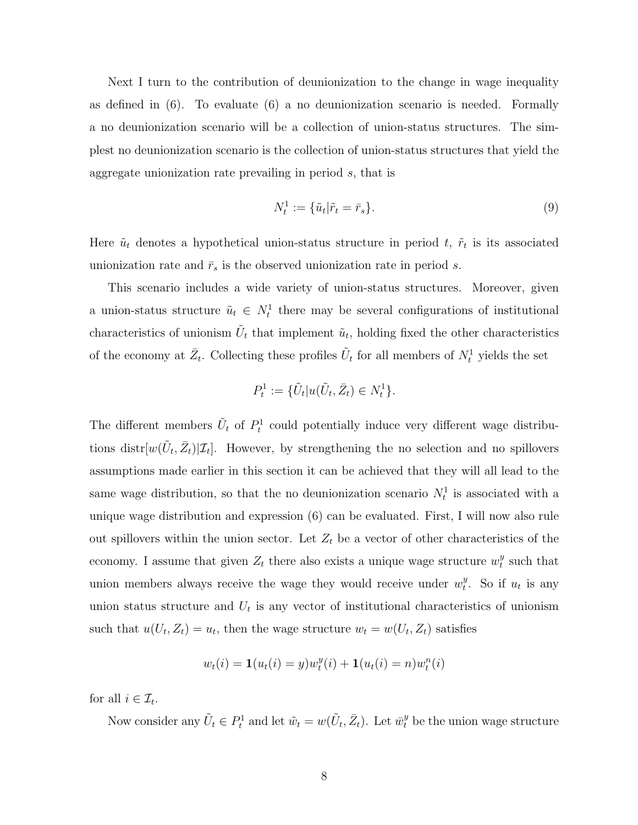Next I turn to the contribution of deunionization to the change in wage inequality as defined in (6). To evaluate (6) a no deunionization scenario is needed. Formally a no deunionization scenario will be a collection of union-status structures. The simplest no deunionization scenario is the collection of union-status structures that yield the aggregate unionization rate prevailing in period s, that is

$$
N_t^1 := \{ \tilde{u}_t | \tilde{r}_t = \bar{r}_s \}. \tag{9}
$$

Here  $\tilde{u}_t$  denotes a hypothetical union-status structure in period t,  $\tilde{r}_t$  is its associated unionization rate and  $\bar{r}_s$  is the observed unionization rate in period s.

This scenario includes a wide variety of union-status structures. Moreover, given a union-status structure  $\tilde{u}_t \in N_t^1$  there may be several configurations of institutional characteristics of unionism  $\tilde{U}_t$  that implement  $\tilde{u}_t$ , holding fixed the other characteristics of the economy at  $\bar{Z}_t$ . Collecting these profiles  $\tilde{U}_t$  for all members of  $N_t^1$  yields the set

$$
P_t^1 := \{ \tilde{U}_t | u(\tilde{U}_t, \bar{Z}_t) \in N_t^1 \}.
$$

The different members  $\tilde{U}_t$  of  $P_t^1$  could potentially induce very different wage distributions distr $[w(\tilde{U}_t, \bar{Z}_t)|\mathcal{I}_t]$ . However, by strengthening the no selection and no spillovers assumptions made earlier in this section it can be achieved that they will all lead to the same wage distribution, so that the no deunionization scenario  $N_t^1$  is associated with a unique wage distribution and expression (6) can be evaluated. First, I will now also rule out spillovers within the union sector. Let  $Z_t$  be a vector of other characteristics of the economy. I assume that given  $Z_t$  there also exists a unique wage structure  $w_t^y$  $t$ <sub>t</sub> such that union members always receive the wage they would receive under  $w_t^y$  $_t^y$ . So if  $u_t$  is any union status structure and  $U_t$  is any vector of institutional characteristics of unionism such that  $u(U_t, Z_t) = u_t$ , then the wage structure  $w_t = w(U_t, Z_t)$  satisfies

$$
w_t(i) = \mathbf{1}(u_t(i) = y)w_t^y(i) + \mathbf{1}(u_t(i) = n)w_t^n(i)
$$

for all  $i \in \mathcal{I}_t$ .

Now consider any  $\tilde{U}_t \in P_t^1$  and let  $\tilde{w}_t = w(\tilde{U}_t, \bar{Z}_t)$ . Let  $\bar{w}_t^y$  be the union wage structure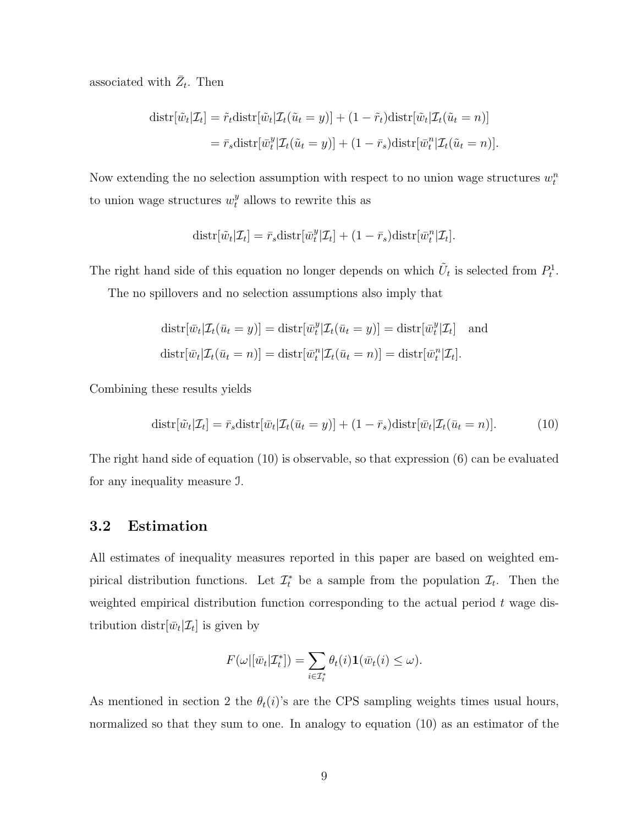associated with  $\bar{Z}_t$ . Then

$$
\begin{aligned} \text{distr}[\tilde{w}_t|\mathcal{I}_t] &= \tilde{r}_t \text{distr}[\tilde{w}_t|\mathcal{I}_t(\tilde{u}_t = y)] + (1 - \tilde{r}_t) \text{distr}[\tilde{w}_t|\mathcal{I}_t(\tilde{u}_t = n)] \\ &= \bar{r}_s \text{distr}[\bar{w}_t^y|\mathcal{I}_t(\tilde{u}_t = y)] + (1 - \bar{r}_s) \text{distr}[\bar{w}_t^n|\mathcal{I}_t(\tilde{u}_t = n)]. \end{aligned}
$$

Now extending the no selection assumption with respect to no union wage structures  $w_t^n$ to union wage structures  $w_t^y$  allows to rewrite this as

$$
dist[\tilde{w}_t|\mathcal{I}_t] = \bar{r}_s dist[\bar{w}_t^y|\mathcal{I}_t] + (1 - \bar{r}_s dist[\bar{w}_t^n|\mathcal{I}_t].
$$

The right hand side of this equation no longer depends on which  $\tilde{U}_t$  is selected from  $P_t^1$ .

The no spillovers and no selection assumptions also imply that

$$
dist[\bar{w}_t | \mathcal{I}_t(\bar{u}_t = y)] = dist[\bar{w}_t^y | \mathcal{I}_t(\bar{u}_t = y)] = dist[\bar{w}_t^y | \mathcal{I}_t]
$$
 and  

$$
dist[\bar{w}_t | \mathcal{I}_t(\bar{u}_t = n)] = dist[\bar{w}_t^n | \mathcal{I}_t(\bar{u}_t = n)] = dist[\bar{w}_t^n | \mathcal{I}_t].
$$

Combining these results yields

$$
dist[\tilde{w}_t|\mathcal{I}_t] = \bar{r}_s dist[\bar{w}_t|\mathcal{I}_t(\bar{u}_t = y)] + (1 - \bar{r}_s dist[\bar{w}_t|\mathcal{I}_t(\bar{u}_t = n)].
$$
\n(10)

The right hand side of equation (10) is observable, so that expression (6) can be evaluated for any inequality measure I.

#### 3.2 Estimation

All estimates of inequality measures reported in this paper are based on weighted empirical distribution functions. Let  $\mathcal{I}_t^*$  be a sample from the population  $\mathcal{I}_t$ . Then the weighted empirical distribution function corresponding to the actual period  $t$  wage distribution distr $[\bar{w}_t | \mathcal{I}_t]$  is given by

$$
F(\omega | [\bar{w}_t | \mathcal{I}_t^*]) = \sum_{i \in \mathcal{I}_t^*} \theta_t(i) \mathbf{1}(\bar{w}_t(i) \leq \omega).
$$

As mentioned in section 2 the  $\theta_t(i)$ 's are the CPS sampling weights times usual hours, normalized so that they sum to one. In analogy to equation (10) as an estimator of the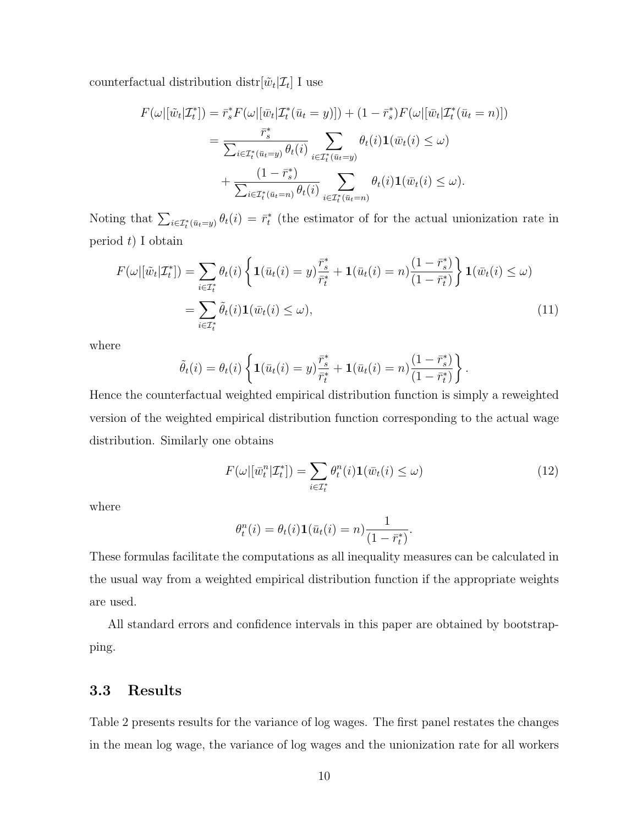counterfactual distribution distr $[\tilde{w}_t | \mathcal{I}_t]$  I use

$$
F(\omega | [\tilde{w}_t | \mathcal{I}_t^*]) = \bar{r}_s^* F(\omega | [\bar{w}_t | \mathcal{I}_t^* (\bar{u}_t = y)]) + (1 - \bar{r}_s^*) F(\omega | [\bar{w}_t | \mathcal{I}_t^* (\bar{u}_t = n)])
$$
  

$$
= \frac{\bar{r}_s^*}{\sum_{i \in \mathcal{I}_t^* (\bar{u}_t = y)} \theta_t(i)} \sum_{i \in \mathcal{I}_t^* (\bar{u}_t = y)} \theta_t(i) \mathbf{1}(\bar{w}_t(i) \leq \omega)
$$
  

$$
+ \frac{(1 - \bar{r}_s^*)}{\sum_{i \in \mathcal{I}_t^* (\bar{u}_t = n)} \theta_t(i)} \sum_{i \in \mathcal{I}_t^* (\bar{u}_t = n)} \theta_t(i) \mathbf{1}(\bar{w}_t(i) \leq \omega).
$$

Noting that  $\sum_{i\in\mathcal{I}_t^*(\bar{u}_t=y)} \theta_t(i) = \bar{r}_t^*$  (the estimator of for the actual unionization rate in period  $t$ ) I obtain

$$
F(\omega | [\tilde{w}_t | \mathcal{I}_t^*]) = \sum_{i \in \mathcal{I}_t^*} \theta_t(i) \left\{ \mathbf{1}(\bar{u}_t(i) = y) \frac{\bar{r}_s^*}{\bar{r}_t^*} + \mathbf{1}(\bar{u}_t(i) = n) \frac{(1 - \bar{r}_s^*)}{(1 - \bar{r}_t^*)} \right\} \mathbf{1}(\bar{w}_t(i) \le \omega)
$$
  
= 
$$
\sum_{i \in \mathcal{I}_t^*} \tilde{\theta}_t(i) \mathbf{1}(\bar{w}_t(i) \le \omega),
$$
 (11)

where

$$
\tilde{\theta}_t(i) = \theta_t(i) \left\{ \mathbf{1}(\bar{u}_t(i) = y) \frac{\bar{r}_s^*}{\bar{r}_t^*} + \mathbf{1}(\bar{u}_t(i) = n) \frac{(1 - \bar{r}_s^*)}{(1 - \bar{r}_t^*)} \right\}.
$$

Hence the counterfactual weighted empirical distribution function is simply a reweighted version of the weighted empirical distribution function corresponding to the actual wage distribution. Similarly one obtains

$$
F(\omega | [\bar{w}_t^n | \mathcal{I}_t^*]) = \sum_{i \in \mathcal{I}_t^*} \theta_t^n(i) \mathbf{1}(\bar{w}_t(i) \le \omega)
$$
\n(12)

where

$$
\theta_t^n(i) = \theta_t(i)\mathbf{1}(\bar{u}_t(i) = n)\frac{1}{(1 - \bar{r}_t^*)}.
$$

These formulas facilitate the computations as all inequality measures can be calculated in the usual way from a weighted empirical distribution function if the appropriate weights are used.

All standard errors and confidence intervals in this paper are obtained by bootstrapping.

### 3.3 Results

Table 2 presents results for the variance of log wages. The first panel restates the changes in the mean log wage, the variance of log wages and the unionization rate for all workers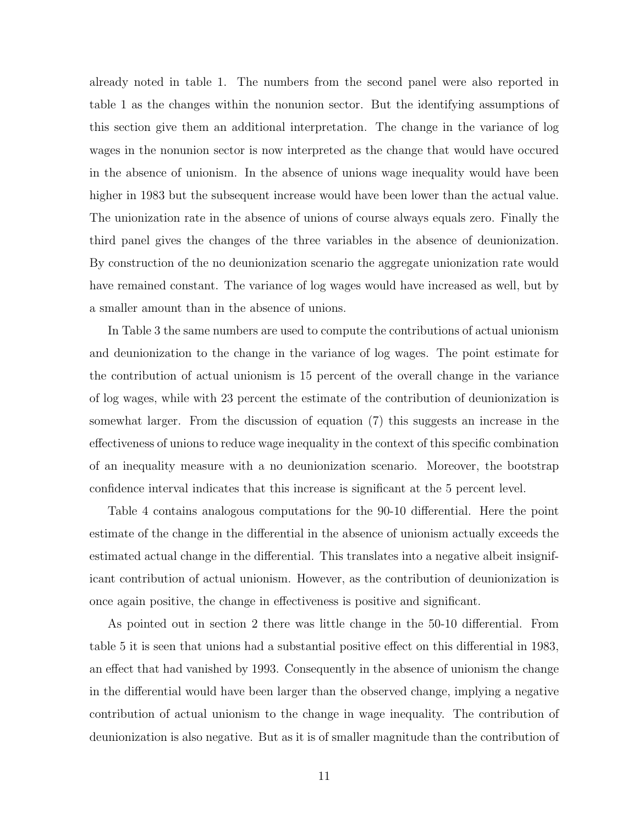already noted in table 1. The numbers from the second panel were also reported in table 1 as the changes within the nonunion sector. But the identifying assumptions of this section give them an additional interpretation. The change in the variance of log wages in the nonunion sector is now interpreted as the change that would have occured in the absence of unionism. In the absence of unions wage inequality would have been higher in 1983 but the subsequent increase would have been lower than the actual value. The unionization rate in the absence of unions of course always equals zero. Finally the third panel gives the changes of the three variables in the absence of deunionization. By construction of the no deunionization scenario the aggregate unionization rate would have remained constant. The variance of log wages would have increased as well, but by a smaller amount than in the absence of unions.

In Table 3 the same numbers are used to compute the contributions of actual unionism and deunionization to the change in the variance of log wages. The point estimate for the contribution of actual unionism is 15 percent of the overall change in the variance of log wages, while with 23 percent the estimate of the contribution of deunionization is somewhat larger. From the discussion of equation (7) this suggests an increase in the effectiveness of unions to reduce wage inequality in the context of this specific combination of an inequality measure with a no deunionization scenario. Moreover, the bootstrap confidence interval indicates that this increase is significant at the 5 percent level.

Table 4 contains analogous computations for the 90-10 differential. Here the point estimate of the change in the differential in the absence of unionism actually exceeds the estimated actual change in the differential. This translates into a negative albeit insignificant contribution of actual unionism. However, as the contribution of deunionization is once again positive, the change in effectiveness is positive and significant.

As pointed out in section 2 there was little change in the 50-10 differential. From table 5 it is seen that unions had a substantial positive effect on this differential in 1983, an effect that had vanished by 1993. Consequently in the absence of unionism the change in the differential would have been larger than the observed change, implying a negative contribution of actual unionism to the change in wage inequality. The contribution of deunionization is also negative. But as it is of smaller magnitude than the contribution of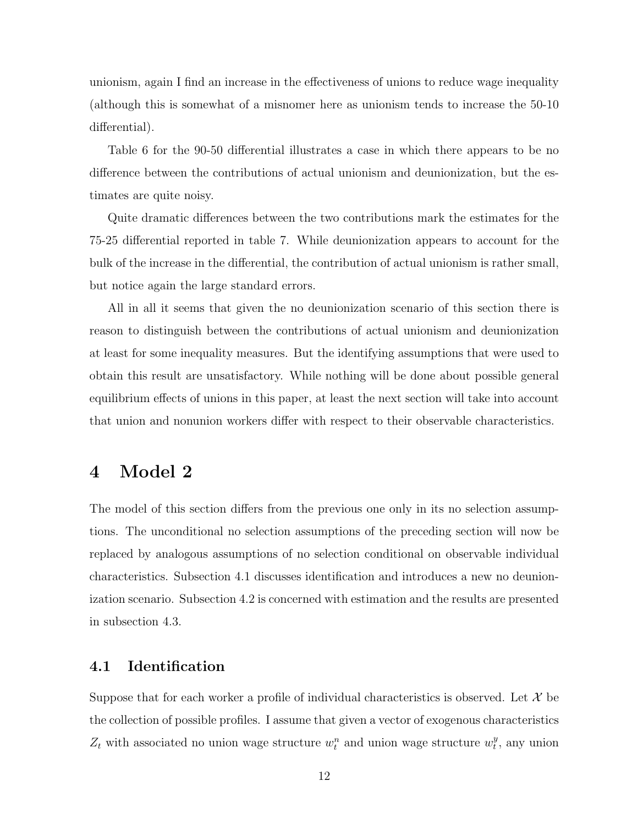unionism, again I find an increase in the effectiveness of unions to reduce wage inequality (although this is somewhat of a misnomer here as unionism tends to increase the 50-10 differential).

Table 6 for the 90-50 differential illustrates a case in which there appears to be no difference between the contributions of actual unionism and deunionization, but the estimates are quite noisy.

Quite dramatic differences between the two contributions mark the estimates for the 75-25 differential reported in table 7. While deunionization appears to account for the bulk of the increase in the differential, the contribution of actual unionism is rather small, but notice again the large standard errors.

All in all it seems that given the no deunionization scenario of this section there is reason to distinguish between the contributions of actual unionism and deunionization at least for some inequality measures. But the identifying assumptions that were used to obtain this result are unsatisfactory. While nothing will be done about possible general equilibrium effects of unions in this paper, at least the next section will take into account that union and nonunion workers differ with respect to their observable characteristics.

### 4 Model 2

The model of this section differs from the previous one only in its no selection assumptions. The unconditional no selection assumptions of the preceding section will now be replaced by analogous assumptions of no selection conditional on observable individual characteristics. Subsection 4.1 discusses identification and introduces a new no deunionization scenario. Subsection 4.2 is concerned with estimation and the results are presented in subsection 4.3.

### 4.1 Identification

Suppose that for each worker a profile of individual characteristics is observed. Let  $\mathcal X$  be the collection of possible profiles. I assume that given a vector of exogenous characteristics  $Z_t$  with associated no union wage structure  $w_t^n$  and union wage structure  $w_t^y$  $_t^y$ , any union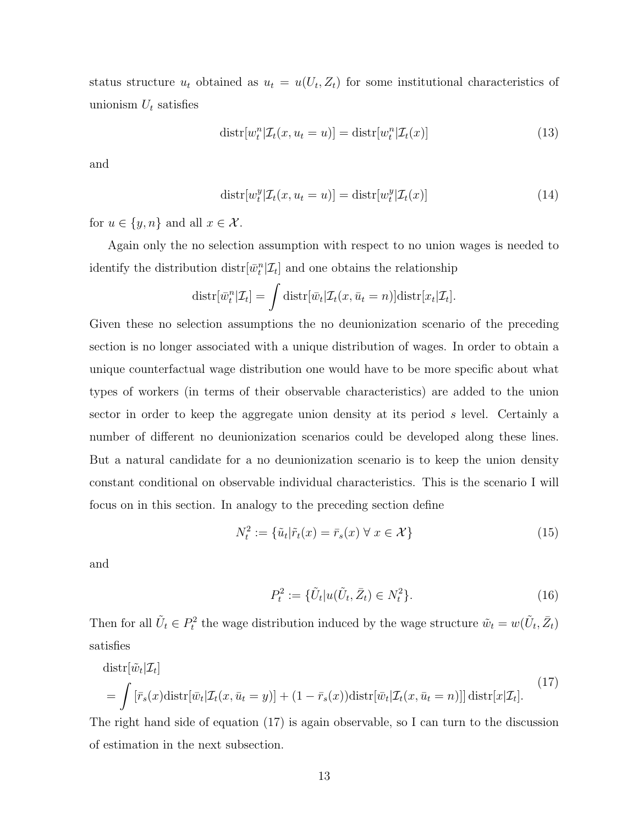status structure  $u_t$  obtained as  $u_t = u(U_t, Z_t)$  for some institutional characteristics of unionism  $U_t$  satisfies

$$
dist[w_t^n | \mathcal{I}_t(x, u_t = u)] = dist[w_t^n | \mathcal{I}_t(x)] \tag{13}
$$

and

$$
dist[w_t^y | \mathcal{I}_t(x, u_t = u)] = dist[w_t^y | \mathcal{I}_t(x)]
$$
\n(14)

for  $u \in \{y, n\}$  and all  $x \in \mathcal{X}$ .

Again only the no selection assumption with respect to no union wages is needed to identify the distribution  $\text{distr}[\bar{w}_t^n | \mathcal{I}_t]$  and one obtains the relationship

$$
\text{distr}[\bar{w}_t^n | \mathcal{I}_t] = \int \text{distr}[\bar{w}_t | \mathcal{I}_t(x, \bar{u}_t = n)] \text{distr}[x_t | \mathcal{I}_t].
$$

Given these no selection assumptions the no deunionization scenario of the preceding section is no longer associated with a unique distribution of wages. In order to obtain a unique counterfactual wage distribution one would have to be more specific about what types of workers (in terms of their observable characteristics) are added to the union sector in order to keep the aggregate union density at its period s level. Certainly a number of different no deunionization scenarios could be developed along these lines. But a natural candidate for a no deunionization scenario is to keep the union density constant conditional on observable individual characteristics. This is the scenario I will focus on in this section. In analogy to the preceding section define

$$
N_t^2 := \{\tilde{u}_t | \tilde{r}_t(x) = \bar{r}_s(x) \,\forall \, x \in \mathcal{X}\}\tag{15}
$$

and

$$
P_t^2 := \{ \tilde{U}_t | u(\tilde{U}_t, \bar{Z}_t) \in N_t^2 \}.
$$
\n(16)

Then for all  $\tilde{U}_t \in P_t^2$  the wage distribution induced by the wage structure  $\tilde{w}_t = w(\tilde{U}_t, \bar{Z}_t)$ satisfies

$$
\text{dist}[\tilde{w}_t|\mathcal{I}_t] = \int \left[\bar{r}_s(x)\text{dist}[\bar{w}_t|\mathcal{I}_t(x,\bar{u}_t=y)] + (1-\bar{r}_s(x))\text{dist}[\bar{w}_t|\mathcal{I}_t(x,\bar{u}_t=n)]\right] \text{dist}[x|\mathcal{I}_t].\tag{17}
$$

The right hand side of equation (17) is again observable, so I can turn to the discussion of estimation in the next subsection.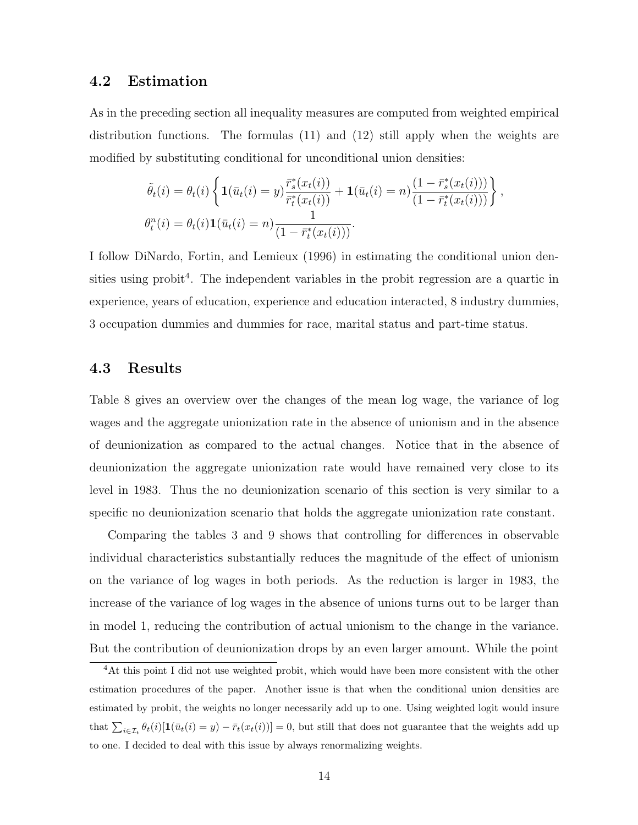#### 4.2 Estimation

As in the preceding section all inequality measures are computed from weighted empirical distribution functions. The formulas (11) and (12) still apply when the weights are modified by substituting conditional for unconditional union densities:

$$
\tilde{\theta}_{t}(i) = \theta_{t}(i) \left\{ \mathbf{1}(\bar{u}_{t}(i) = y) \frac{\bar{r}_{s}^{*}(x_{t}(i))}{\bar{r}_{t}^{*}(x_{t}(i))} + \mathbf{1}(\bar{u}_{t}(i) = n) \frac{(1 - \bar{r}_{s}^{*}(x_{t}(i)))}{(1 - \bar{r}_{t}^{*}(x_{t}(i)))} \right\},
$$
  

$$
\theta_{t}^{n}(i) = \theta_{t}(i) \mathbf{1}(\bar{u}_{t}(i) = n) \frac{1}{(1 - \bar{r}_{t}^{*}(x_{t}(i)))}.
$$

I follow DiNardo, Fortin, and Lemieux (1996) in estimating the conditional union densities using probit<sup>4</sup>. The independent variables in the probit regression are a quartic in experience, years of education, experience and education interacted, 8 industry dummies, 3 occupation dummies and dummies for race, marital status and part-time status.

#### 4.3 Results

Table 8 gives an overview over the changes of the mean log wage, the variance of log wages and the aggregate unionization rate in the absence of unionism and in the absence of deunionization as compared to the actual changes. Notice that in the absence of deunionization the aggregate unionization rate would have remained very close to its level in 1983. Thus the no deunionization scenario of this section is very similar to a specific no deunionization scenario that holds the aggregate unionization rate constant.

Comparing the tables 3 and 9 shows that controlling for differences in observable individual characteristics substantially reduces the magnitude of the effect of unionism on the variance of log wages in both periods. As the reduction is larger in 1983, the increase of the variance of log wages in the absence of unions turns out to be larger than in model 1, reducing the contribution of actual unionism to the change in the variance. But the contribution of deunionization drops by an even larger amount. While the point

<sup>&</sup>lt;sup>4</sup>At this point I did not use weighted probit, which would have been more consistent with the other estimation procedures of the paper. Another issue is that when the conditional union densities are estimated by probit, the weights no longer necessarily add up to one. Using weighted logit would insure that  $\sum_{i\in\mathcal{I}_t}\theta_t(i)[\mathbf{1}(\bar{u}_t(i) = y) - \bar{r}_t(x_t(i))] = 0$ , but still that does not guarantee that the weights add up to one. I decided to deal with this issue by always renormalizing weights.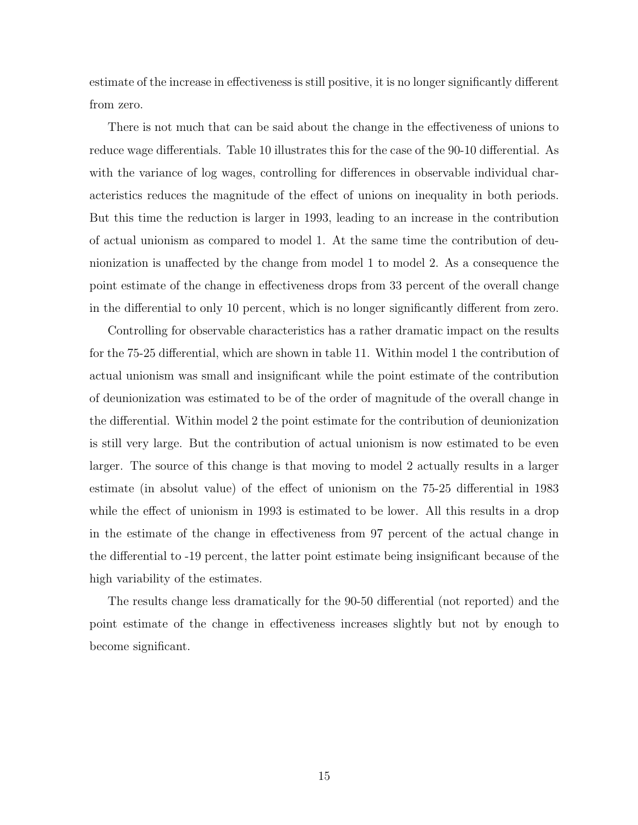estimate of the increase in effectiveness is still positive, it is no longer significantly different from zero.

There is not much that can be said about the change in the effectiveness of unions to reduce wage differentials. Table 10 illustrates this for the case of the 90-10 differential. As with the variance of log wages, controlling for differences in observable individual characteristics reduces the magnitude of the effect of unions on inequality in both periods. But this time the reduction is larger in 1993, leading to an increase in the contribution of actual unionism as compared to model 1. At the same time the contribution of deunionization is unaffected by the change from model 1 to model 2. As a consequence the point estimate of the change in effectiveness drops from 33 percent of the overall change in the differential to only 10 percent, which is no longer significantly different from zero.

Controlling for observable characteristics has a rather dramatic impact on the results for the 75-25 differential, which are shown in table 11. Within model 1 the contribution of actual unionism was small and insignificant while the point estimate of the contribution of deunionization was estimated to be of the order of magnitude of the overall change in the differential. Within model 2 the point estimate for the contribution of deunionization is still very large. But the contribution of actual unionism is now estimated to be even larger. The source of this change is that moving to model 2 actually results in a larger estimate (in absolut value) of the effect of unionism on the 75-25 differential in 1983 while the effect of unionism in 1993 is estimated to be lower. All this results in a drop in the estimate of the change in effectiveness from 97 percent of the actual change in the differential to -19 percent, the latter point estimate being insignificant because of the high variability of the estimates.

The results change less dramatically for the 90-50 differential (not reported) and the point estimate of the change in effectiveness increases slightly but not by enough to become significant.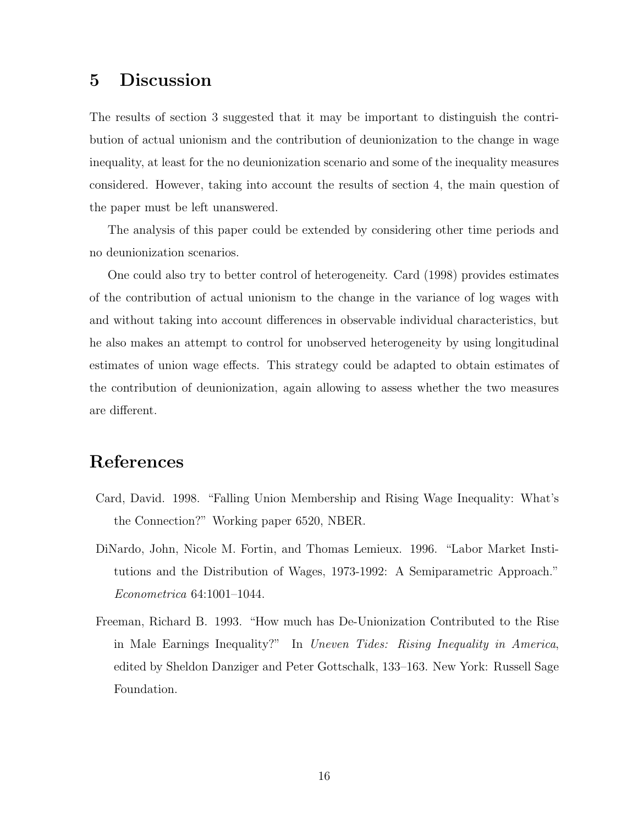### 5 Discussion

The results of section 3 suggested that it may be important to distinguish the contribution of actual unionism and the contribution of deunionization to the change in wage inequality, at least for the no deunionization scenario and some of the inequality measures considered. However, taking into account the results of section 4, the main question of the paper must be left unanswered.

The analysis of this paper could be extended by considering other time periods and no deunionization scenarios.

One could also try to better control of heterogeneity. Card (1998) provides estimates of the contribution of actual unionism to the change in the variance of log wages with and without taking into account differences in observable individual characteristics, but he also makes an attempt to control for unobserved heterogeneity by using longitudinal estimates of union wage effects. This strategy could be adapted to obtain estimates of the contribution of deunionization, again allowing to assess whether the two measures are different.

# References

- Card, David. 1998. "Falling Union Membership and Rising Wage Inequality: What's the Connection?" Working paper 6520, NBER.
- DiNardo, John, Nicole M. Fortin, and Thomas Lemieux. 1996. "Labor Market Institutions and the Distribution of Wages, 1973-1992: A Semiparametric Approach." Econometrica 64:1001–1044.
- Freeman, Richard B. 1993. "How much has De-Unionization Contributed to the Rise in Male Earnings Inequality?" In Uneven Tides: Rising Inequality in America, edited by Sheldon Danziger and Peter Gottschalk, 133–163. New York: Russell Sage Foundation.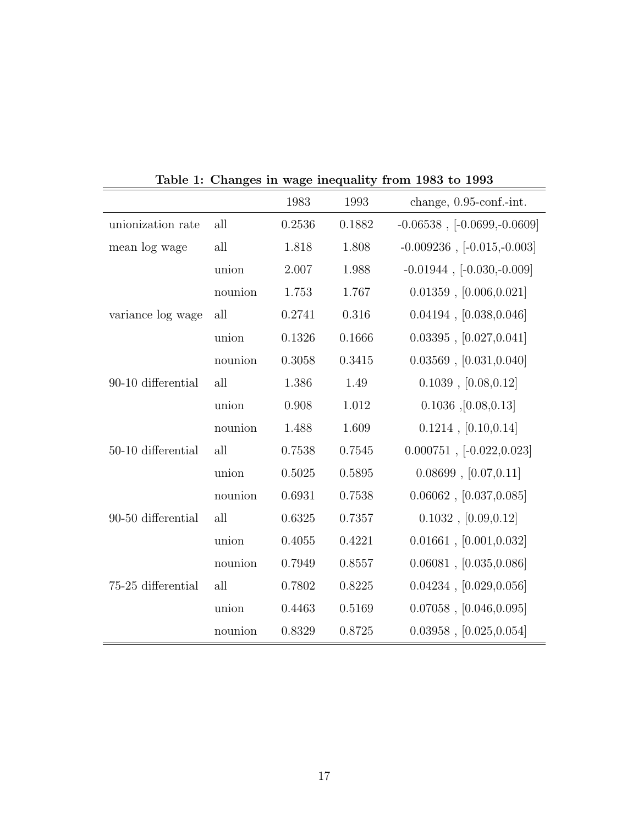|                    |         | 1983   | 1993   | change, $0.95$ -conf.-int.       |
|--------------------|---------|--------|--------|----------------------------------|
| unionization rate  | all     | 0.2536 | 0.1882 | $-0.06538$ , $[-0.0699,-0.0609]$ |
| mean log wage      | all     | 1.818  | 1.808  | $-0.009236$ , $[-0.015,-0.003]$  |
|                    | union   | 2.007  | 1.988  | $-0.01944$ , $[-0.030,-0.009]$   |
|                    | nounion | 1.753  | 1.767  | $0.01359$ , $[0.006, 0.021]$     |
| variance log wage  | all     | 0.2741 | 0.316  | 0.04194, [0.038, 0.046]          |
|                    | union   | 0.1326 | 0.1666 | 0.03395, [0.027, 0.041]          |
|                    | nounion | 0.3058 | 0.3415 | 0.03569, [0.031, 0.040]          |
| 90-10 differential | all     | 1.386  | 1.49   | $0.1039$ , $[0.08, 0.12]$        |
|                    | union   | 0.908  | 1.012  | $0.1036$ , $[0.08, 0.13]$        |
|                    | nounion | 1.488  | 1.609  | $0.1214$ , $[0.10, 0.14]$        |
| 50-10 differential | all     | 0.7538 | 0.7545 | $0.000751, [-0.022, 0.023]$      |
|                    | union   | 0.5025 | 0.5895 | 0.08699, [0.07, 0.11]            |
|                    | nounion | 0.6931 | 0.7538 | $0.06062$ , $[0.037, 0.085]$     |
| 90-50 differential | all     | 0.6325 | 0.7357 | 0.1032, [0.09, 0.12]             |
|                    | union   | 0.4055 | 0.4221 | $0.01661$ , $[0.001, 0.032]$     |
|                    | nounion | 0.7949 | 0.8557 | 0.06081, [0.035, 0.086]          |
| 75-25 differential | all     | 0.7802 | 0.8225 | 0.04234, [0.029, 0.056]          |
|                    | union   | 0.4463 | 0.5169 | $0.07058$ , $[0.046, 0.095]$     |
|                    | nounion | 0.8329 | 0.8725 | 0.03958, [0.025, 0.054]          |

Table 1: Changes in wage inequality from 1983 to 1993

 $\overline{\phantom{0}}$ 

 $\overline{a}$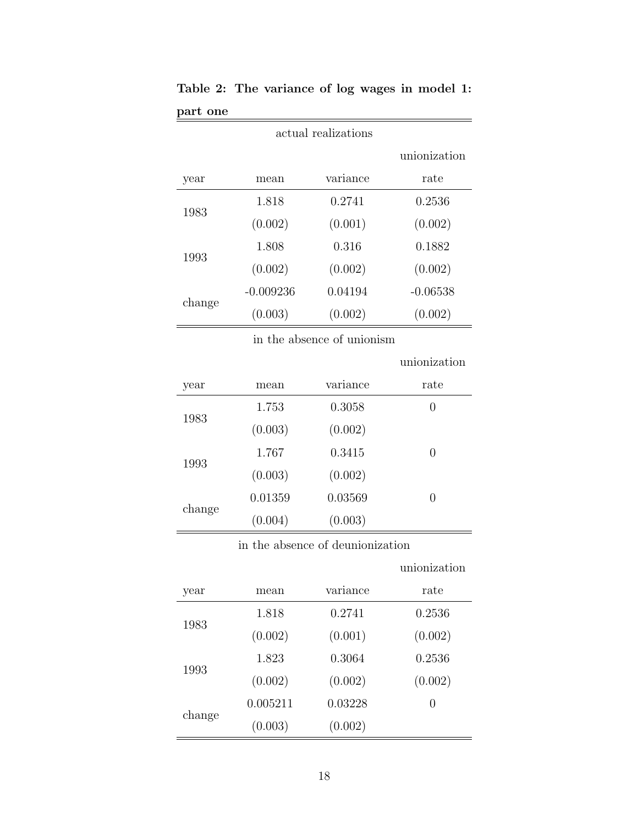| actual realizations |             |          |              |  |  |
|---------------------|-------------|----------|--------------|--|--|
|                     |             |          | unionization |  |  |
| year                | mean        | variance | rate         |  |  |
| 1983                | 1.818       | 0.2741   | 0.2536       |  |  |
|                     | (0.002)     | (0.001)  | (0.002)      |  |  |
| 1993                | 1.808       | 0.316    | 0.1882       |  |  |
|                     | (0.002)     | (0.002)  | (0.002)      |  |  |
| change              | $-0.009236$ | 0.04194  | $-0.06538$   |  |  |
|                     | (0.003)     | (0.002)  | (0.002)      |  |  |

Table 2: The variance of log wages in model 1: part one

in the absence of unionism

unionization

| year   | mean    | variance | rate |
|--------|---------|----------|------|
|        | 1.753   | 0.3058   | 0    |
| 1983   | (0.003) | (0.002)  |      |
| 1993   | 1.767   | 0.3415   | 0    |
|        | (0.003) | (0.002)  |      |
|        | 0.01359 | 0.03569  | 0    |
| change | (0.004) | (0.003)  |      |

in the absence of deunionization

unionization

| year   | mean     | variance | rate             |
|--------|----------|----------|------------------|
| 1983   | 1.818    | 0.2741   | 0.2536           |
|        | (0.002)  | (0.001)  | (0.002)          |
| 1993   | 1.823    | 0.3064   | 0.2536           |
|        | (0.002)  | (0.002)  | (0.002)          |
|        | 0.005211 | 0.03228  | $\left( \right)$ |
| change | (0.003)  | (0.002)  |                  |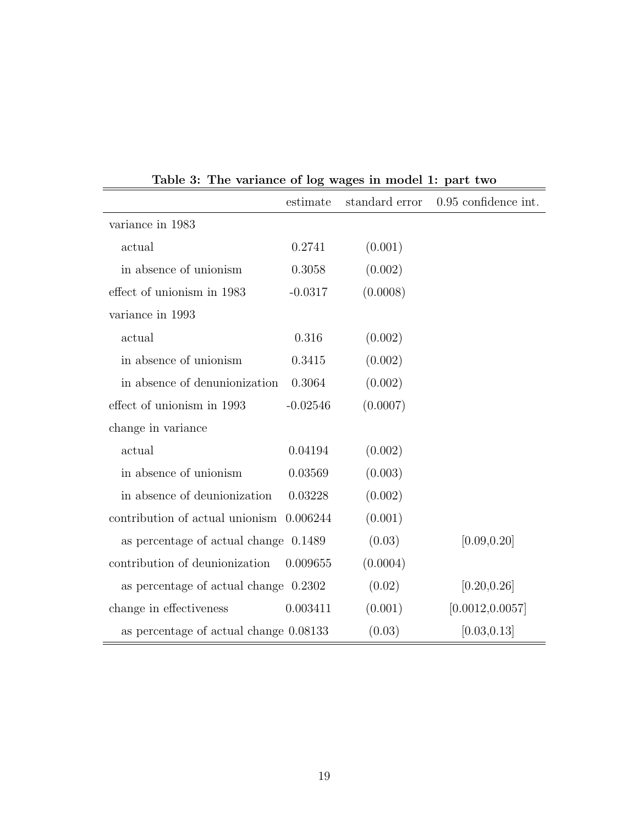|                                          | estimate   | standard error | 0.95 confidence int. |
|------------------------------------------|------------|----------------|----------------------|
| variance in 1983                         |            |                |                      |
| actual                                   | 0.2741     | (0.001)        |                      |
| in absence of unionism                   | 0.3058     | (0.002)        |                      |
| effect of unionism in 1983               | $-0.0317$  | (0.0008)       |                      |
| variance in 1993                         |            |                |                      |
| actual                                   | 0.316      | (0.002)        |                      |
| in absence of unionism                   | 0.3415     | (0.002)        |                      |
| in absence of denunionization            | 0.3064     | (0.002)        |                      |
| effect of unionism in 1993               | $-0.02546$ | (0.0007)       |                      |
| change in variance                       |            |                |                      |
| actual                                   | 0.04194    | (0.002)        |                      |
| in absence of unionism                   | 0.03569    | (0.003)        |                      |
| in absence of deunionization             | 0.03228    | (0.002)        |                      |
| contribution of actual unionism 0.006244 |            | (0.001)        |                      |
| as percentage of actual change 0.1489    |            | (0.03)         | [0.09, 0.20]         |
| contribution of deunionization           | 0.009655   | (0.0004)       |                      |
| as percentage of actual change 0.2302    |            | (0.02)         | [0.20, 0.26]         |
| change in effectiveness                  | 0.003411   | (0.001)        | [0.0012, 0.0057]     |
| as percentage of actual change 0.08133   |            | (0.03)         | [0.03, 0.13]         |

Table 3: The variance of log wages in model 1: part two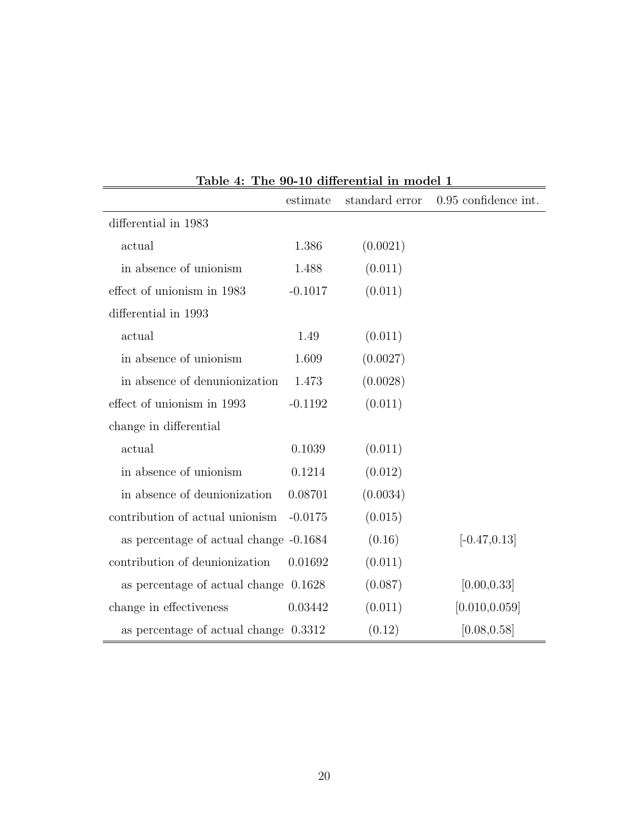|                                        | estimate  | standard error | 0.95 confidence int. |
|----------------------------------------|-----------|----------------|----------------------|
| differential in 1983                   |           |                |                      |
| actual                                 | 1.386     | (0.0021)       |                      |
| in absence of unionism                 | 1.488     | (0.011)        |                      |
| effect of unionism in 1983             | $-0.1017$ | (0.011)        |                      |
| differential in 1993                   |           |                |                      |
| actual                                 | 1.49      | (0.011)        |                      |
| in absence of unionism                 | 1.609     | (0.0027)       |                      |
| in absence of denunionization          | 1.473     | (0.0028)       |                      |
| effect of unionism in 1993             | $-0.1192$ | (0.011)        |                      |
| change in differential                 |           |                |                      |
| actual                                 | 0.1039    | (0.011)        |                      |
| in absence of unionism                 | 0.1214    | (0.012)        |                      |
| in absence of deunionization           | 0.08701   | (0.0034)       |                      |
| contribution of actual unionism        | $-0.0175$ | (0.015)        |                      |
| as percentage of actual change -0.1684 |           | (0.16)         | $[-0.47, 0.13]$      |
| contribution of deunionization         | 0.01692   | (0.011)        |                      |
| as percentage of actual change 0.1628  |           | (0.087)        | [0.00, 0.33]         |
| change in effectiveness                | 0.03442   | (0.011)        | [0.010, 0.059]       |
| as percentage of actual change 0.3312  |           | (0.12)         | [0.08, 0.58]         |

Table 4: The 90-10 differential in model 1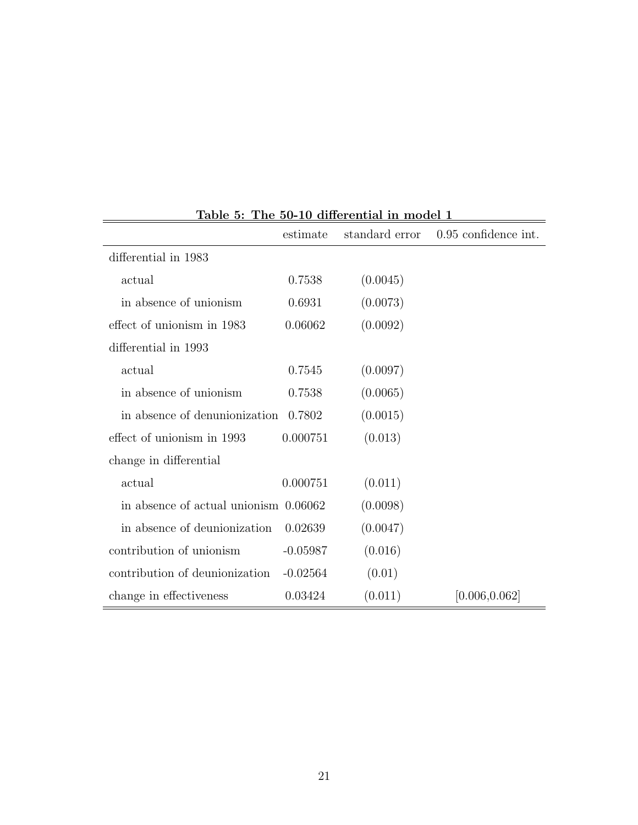|                                       | estimate   | standard error | 0.95 confidence int. |
|---------------------------------------|------------|----------------|----------------------|
| differential in 1983                  |            |                |                      |
| actual                                | 0.7538     | (0.0045)       |                      |
| in absence of unionism                | 0.6931     | (0.0073)       |                      |
| effect of unionism in 1983            | 0.06062    | (0.0092)       |                      |
| differential in 1993                  |            |                |                      |
| actual                                | 0.7545     | (0.0097)       |                      |
| in absence of unionism                | 0.7538     | (0.0065)       |                      |
| in absence of denunionization         | 0.7802     | (0.0015)       |                      |
| effect of unionism in 1993            | 0.000751   | (0.013)        |                      |
| change in differential                |            |                |                      |
| actual                                | 0.000751   | (0.011)        |                      |
| in absence of actual unionism 0.06062 |            | (0.0098)       |                      |
| in absence of deunionization          | 0.02639    | (0.0047)       |                      |
| contribution of unionism              | $-0.05987$ | (0.016)        |                      |
| contribution of deunionization        | $-0.02564$ | (0.01)         |                      |
| change in effectiveness               | 0.03424    | (0.011)        | [0.006, 0.062]       |

Table 5: The 50-10 differential in model 1

ċ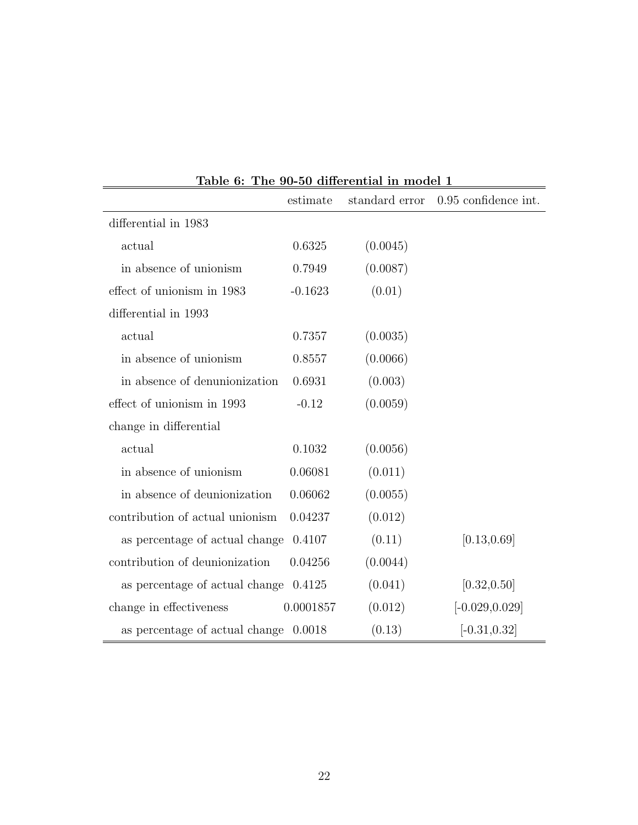|                                         | estimate  | standard error | 0.95 confidence int. |
|-----------------------------------------|-----------|----------------|----------------------|
| differential in 1983                    |           |                |                      |
| actual                                  | 0.6325    | (0.0045)       |                      |
| in absence of unionism                  | 0.7949    | (0.0087)       |                      |
| effect of unionism in 1983              | $-0.1623$ | (0.01)         |                      |
| differential in 1993                    |           |                |                      |
| actual                                  | 0.7357    | (0.0035)       |                      |
| in absence of unionism                  | 0.8557    | (0.0066)       |                      |
| in absence of denunionization           | 0.6931    | (0.003)        |                      |
| effect of unionism in 1993              | $-0.12$   | (0.0059)       |                      |
| change in differential                  |           |                |                      |
| actual                                  | 0.1032    | (0.0056)       |                      |
| in absence of unionism                  | 0.06081   | (0.011)        |                      |
| in absence of deunionization            | 0.06062   | (0.0055)       |                      |
| contribution of actual unionism         | 0.04237   | (0.012)        |                      |
| as percentage of actual change          | 0.4107    | (0.11)         | [0.13, 0.69]         |
| contribution of deunionization          | 0.04256   | (0.0044)       |                      |
| as percentage of actual change          | 0.4125    | (0.041)        | [0.32, 0.50]         |
| change in effectiveness                 | 0.0001857 | (0.012)        | $[-0.029, 0.029]$    |
| as percentage of actual change $0.0018$ |           | (0.13)         | $[-0.31, 0.32]$      |

Table 6: The 90-50 differential in model 1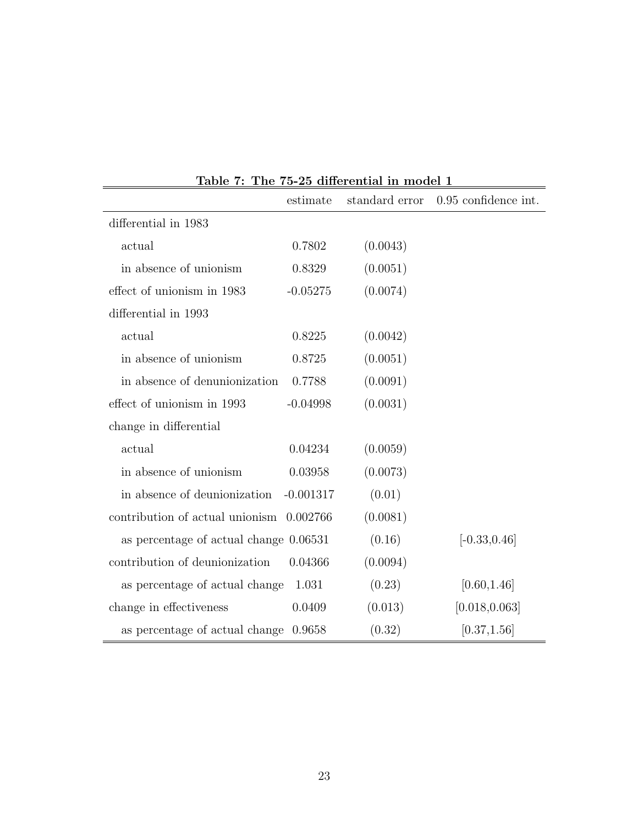|                                          | estimate    | standard error | 0.95 confidence int. |
|------------------------------------------|-------------|----------------|----------------------|
| differential in 1983                     |             |                |                      |
| actual                                   | 0.7802      | (0.0043)       |                      |
| in absence of unionism                   | 0.8329      | (0.0051)       |                      |
| effect of unionism in 1983               | $-0.05275$  | (0.0074)       |                      |
| differential in 1993                     |             |                |                      |
| actual                                   | 0.8225      | (0.0042)       |                      |
| in absence of unionism                   | 0.8725      | (0.0051)       |                      |
| in absence of denunionization            | 0.7788      | (0.0091)       |                      |
| effect of unionism in 1993               | $-0.04998$  | (0.0031)       |                      |
| change in differential                   |             |                |                      |
| actual                                   | 0.04234     | (0.0059)       |                      |
| in absence of unionism                   | 0.03958     | (0.0073)       |                      |
| in absence of deunionization             | $-0.001317$ | (0.01)         |                      |
| contribution of actual unionism 0.002766 |             | (0.0081)       |                      |
| as percentage of actual change 0.06531   |             | (0.16)         | $[-0.33, 0.46]$      |
| contribution of deunionization           | 0.04366     | (0.0094)       |                      |
| as percentage of actual change           | 1.031       | (0.23)         | [0.60, 1.46]         |
| change in effectiveness                  | 0.0409      | (0.013)        | [0.018, 0.063]       |
| as percentage of actual change           | 0.9658      | (0.32)         | [0.37, 1.56]         |

Table 7: The 75-25 differential in model 1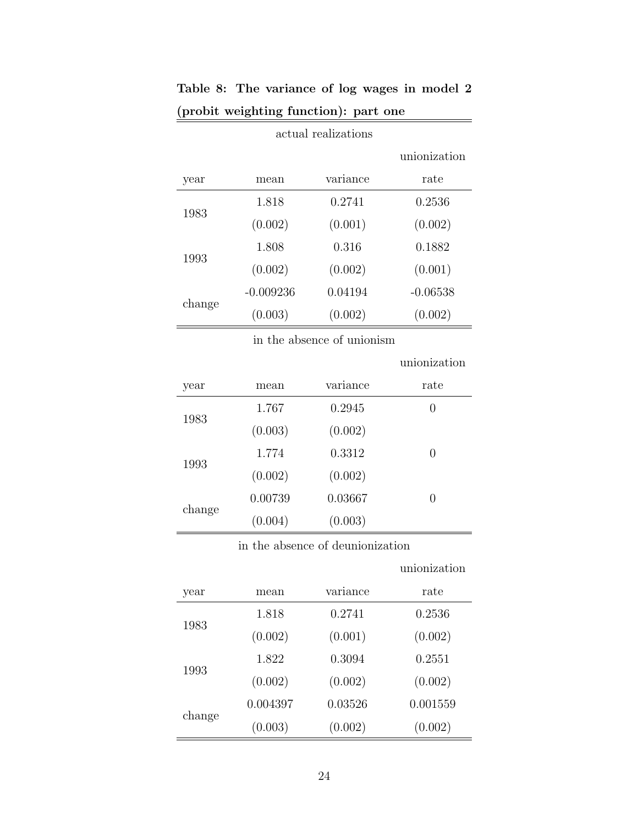|        |             |          | unionization |
|--------|-------------|----------|--------------|
| year   | mean        | variance | rate         |
| 1983   | 1.818       | 0.2741   | 0.2536       |
|        | (0.002)     | (0.001)  | (0.002)      |
| 1993   | 1.808       | 0.316    | 0.1882       |
|        | (0.002)     | (0.002)  | (0.001)      |
| change | $-0.009236$ | 0.04194  | $-0.06538$   |
|        | (0.003)     | (0.002)  | (0.002)      |

#### Table 8: The variance of log wages in model 2 (probit weighting function): part one  $\equiv$

actual realizations

in the absence of unionism

|        |         |          | unionization |
|--------|---------|----------|--------------|
| year   | mean    | variance | rate         |
| 1983   | 1.767   | 0.2945   | 0            |
|        | (0.003) | (0.002)  |              |
| 1993   | 1.774   | 0.3312   | 0            |
|        | (0.002) | (0.002)  |              |
| change | 0.00739 | 0.03667  | 0            |
|        | (0.004) | (0.003)  |              |

in the absence of deunionization

unionization

| year   | mean     | variance | rate     |
|--------|----------|----------|----------|
|        | 1.818    | 0.2741   | 0.2536   |
| 1983   | (0.002)  | (0.001)  | (0.002)  |
| 1993   | 1.822    | 0.3094   | 0.2551   |
|        | (0.002)  | (0.002)  | (0.002)  |
|        | 0.004397 | 0.03526  | 0.001559 |
| change | (0.003)  | (0.002)  | (0.002)  |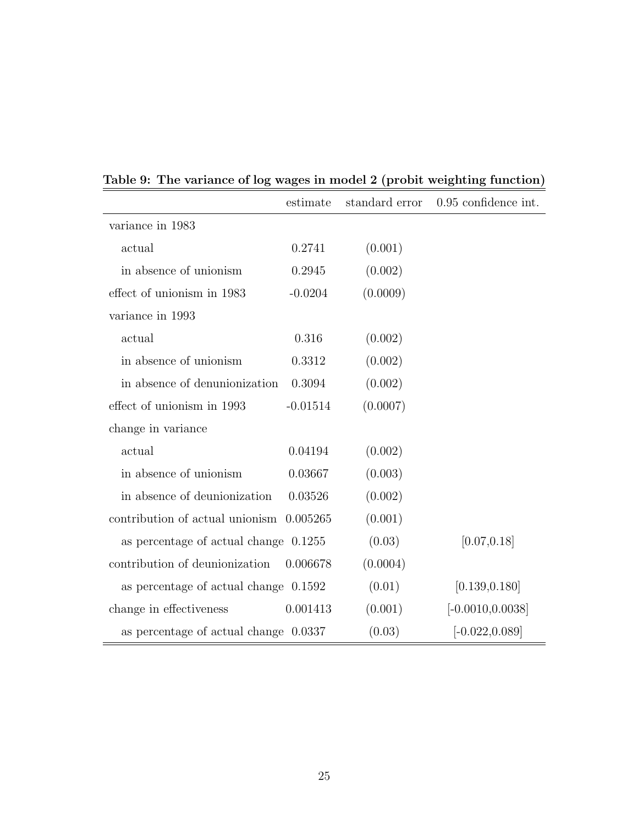|                                          | estimate   | standard error | 0.95 confidence int. |
|------------------------------------------|------------|----------------|----------------------|
| variance in 1983                         |            |                |                      |
| actual                                   | 0.2741     | (0.001)        |                      |
| in absence of unionism                   | 0.2945     | (0.002)        |                      |
| effect of unionism in 1983               | $-0.0204$  | (0.0009)       |                      |
| variance in 1993                         |            |                |                      |
| actual                                   | 0.316      | (0.002)        |                      |
| in absence of unionism                   | 0.3312     | (0.002)        |                      |
| in absence of denunionization            | 0.3094     | (0.002)        |                      |
| effect of unionism in 1993               | $-0.01514$ | (0.0007)       |                      |
| change in variance                       |            |                |                      |
| actual                                   | 0.04194    | (0.002)        |                      |
| in absence of unionism                   | 0.03667    | (0.003)        |                      |
| in absence of deunionization             | 0.03526    | (0.002)        |                      |
| contribution of actual unionism 0.005265 |            | (0.001)        |                      |
| as percentage of actual change $0.1255$  |            | (0.03)         | [0.07, 0.18]         |
| contribution of deunionization           | 0.006678   | (0.0004)       |                      |
| as percentage of actual change 0.1592    |            | (0.01)         | [0.139, 0.180]       |
| change in effectiveness                  | 0.001413   | (0.001)        | $[-0.0010, 0.0038]$  |
| as percentage of actual change 0.0337    |            | (0.03)         | $[-0.022, 0.089]$    |

# Table 9: The variance of log wages in model 2 (probit weighting function)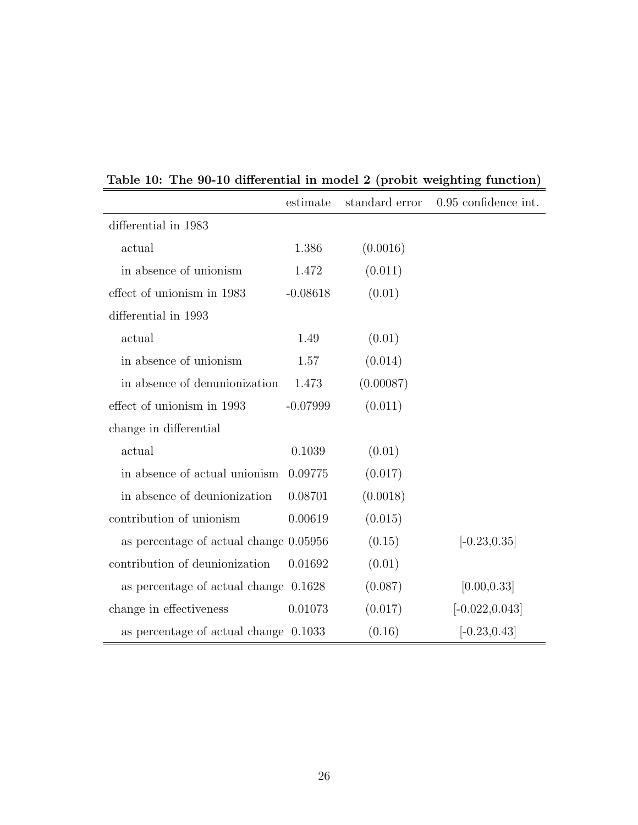|                                        | estimate   | standard error | 0.95 confidence int. |
|----------------------------------------|------------|----------------|----------------------|
| differential in 1983                   |            |                |                      |
| actual                                 | 1.386      | (0.0016)       |                      |
| in absence of unionism                 | 1.472      | (0.011)        |                      |
| effect of unionism in 1983             | $-0.08618$ | (0.01)         |                      |
| differential in 1993                   |            |                |                      |
| actual                                 | 1.49       | (0.01)         |                      |
| in absence of unionism                 | 1.57       | (0.014)        |                      |
| in absence of denunionization          | 1.473      | (0.00087)      |                      |
| effect of unionism in 1993             | $-0.07999$ | (0.011)        |                      |
| change in differential                 |            |                |                      |
| actual                                 | 0.1039     | (0.01)         |                      |
| in absence of actual unionism          | 0.09775    | (0.017)        |                      |
| in absence of deunionization           | 0.08701    | (0.0018)       |                      |
| contribution of unionism               | 0.00619    | (0.015)        |                      |
| as percentage of actual change 0.05956 |            | (0.15)         | $[-0.23, 0.35]$      |
| contribution of deunionization         | 0.01692    | (0.01)         |                      |
| as percentage of actual change 0.1628  |            | (0.087)        | [0.00, 0.33]         |
| change in effectiveness                | 0.01073    | (0.017)        | $[-0.022, 0.043]$    |
| as percentage of actual change 0.1033  |            | (0.16)         | $[-0.23, 0.43]$      |

### Table 10: The 90-10 differential in model 2 (probit weighting function)